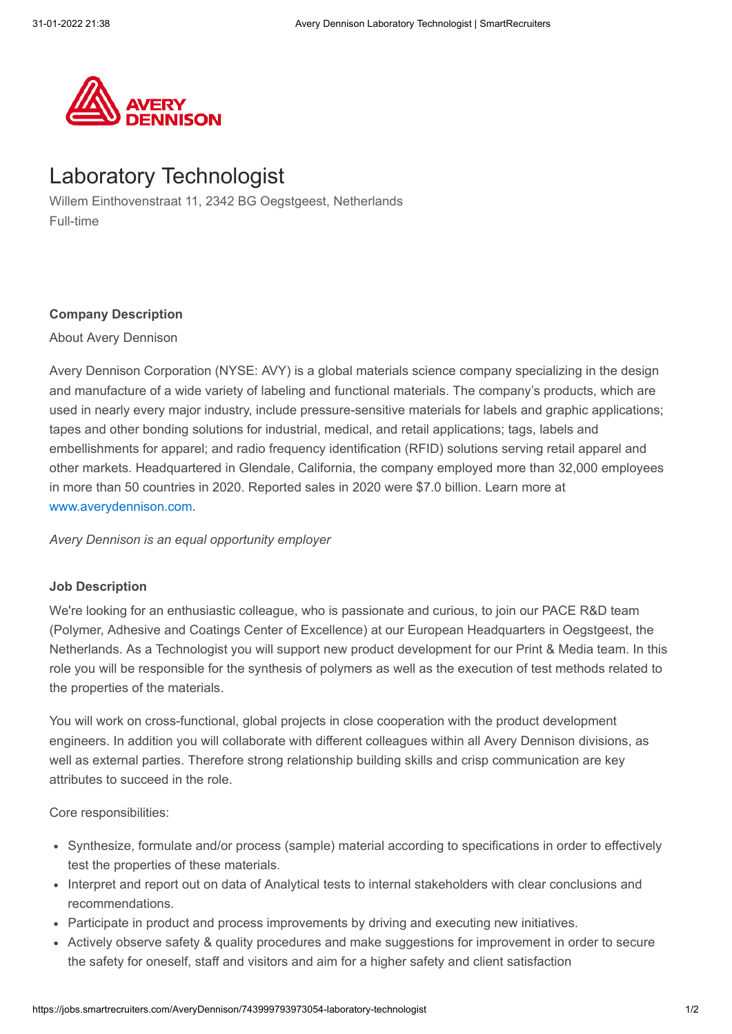

# Laboratory Technologist

Willem Einthovenstraat 11, 2342 BG Oegstgeest, Netherlands Full-time

### **Company Description**

About Avery Dennison

Avery Dennison Corporation (NYSE: AVY) is a global materials science company specializing in the design and manufacture of a wide variety of labeling and functional materials. The company's products, which are used in nearly every major industry, include pressure-sensitive materials for labels and graphic applications; tapes and other bonding solutions for industrial, medical, and retail applications; tags, labels and embellishments for apparel; and radio frequency identification (RFID) solutions serving retail apparel and other markets. Headquartered in Glendale, California, the company employed more than 32,000 employees in more than 50 countries in 2020. Reported sales in 2020 were \$7.0 billion. Learn more at [www.averydennison.com.](http://www.averydennison.com/)

*Avery Dennison is an equal opportunity employer*

### **Job Description**

We're looking for an enthusiastic colleague, who is passionate and curious, to join our PACE R&D team (Polymer, Adhesive and Coatings Center of Excellence) at our European Headquarters in Oegstgeest, the Netherlands. As a Technologist you will support new product development for our Print & Media team. In this role you will be responsible for the synthesis of polymers as well as the execution of test methods related to the properties of the materials.

You will work on cross-functional, global projects in close cooperation with the product development engineers. In addition you will collaborate with different colleagues within all Avery Dennison divisions, as well as external parties. Therefore strong relationship building skills and crisp communication are key attributes to succeed in the role.

Core responsibilities:

- Synthesize, formulate and/or process (sample) material according to specifications in order to effectively test the properties of these materials.
- Interpret and report out on data of Analytical tests to internal stakeholders with clear conclusions and recommendations.
- Participate in product and process improvements by driving and executing new initiatives.
- Actively observe safety & quality procedures and make suggestions for improvement in order to secure the safety for oneself, staff and visitors and aim for a higher safety and client satisfaction